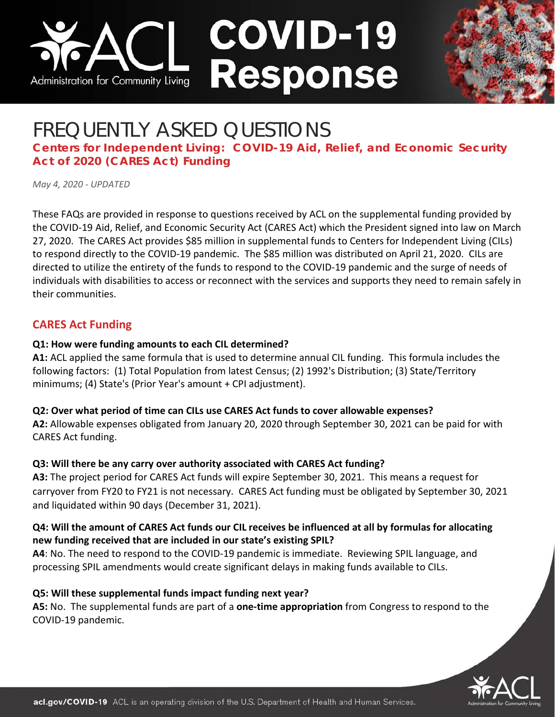



# FREQUENTLY ASKED QUESTIONS

**Centers for Independent Living: COVID-19 Aid, Relief, and Economic Security Act of 2020 (CARES Act) Funding**

*May 4, 2020 - UPDATED*

These FAQs are provided in response to questions received by ACL on the supplemental funding provided by the COVID-19 Aid, Relief, and Economic Security Act (CARES Act) which the President signed into law on March 27, 2020. The CARES Act provides \$85 million in supplemental funds to Centers for Independent Living (CILs) to respond directly to the COVID-19 pandemic. The \$85 million was distributed on April 21, 2020. CILs are directed to utilize the entirety of the funds to respond to the COVID-19 pandemic and the surge of needs of individuals with disabilities to access or reconnect with the services and supports they need to remain safely in their communities.

# **CARES Act Funding**

## **Q1: How were funding amounts to each CIL determined?**

**A1:** ACL applied the same formula that is used to determine annual CIL funding. This formula includes the following factors: (1) Total Population from latest Census; (2) 1992's Distribution; (3) State/Territory minimums; (4) State's (Prior Year's amount + CPI adjustment).

## **Q2: Over what period of time can CILs use CARES Act funds to cover allowable expenses?**

**A2:** Allowable expenses obligated from January 20, 2020 through September 30, 2021 can be paid for with CARES Act funding.

## **Q3: Will there be any carry over authority associated with CARES Act funding?**

**A3:** The project period for CARES Act funds will expire September 30, 2021. This means a request for carryover from FY20 to FY21 is not necessary. CARES Act funding must be obligated by September 30, 2021 and liquidated within 90 days (December 31, 2021).

## **Q4: Will the amount of CARES Act funds our CIL receives be influenced at all by formulas for allocating new funding received that are included in our state's existing SPIL?**

**A4**: No. The need to respond to the COVID-19 pandemic is immediate. Reviewing SPIL language, and processing SPIL amendments would create significant delays in making funds available to CILs.

## **Q5: Will these supplemental funds impact funding next year?**

**A5:** No. The supplemental funds are part of a **one-time appropriation** from Congress to respond to the COVID-19 pandemic.

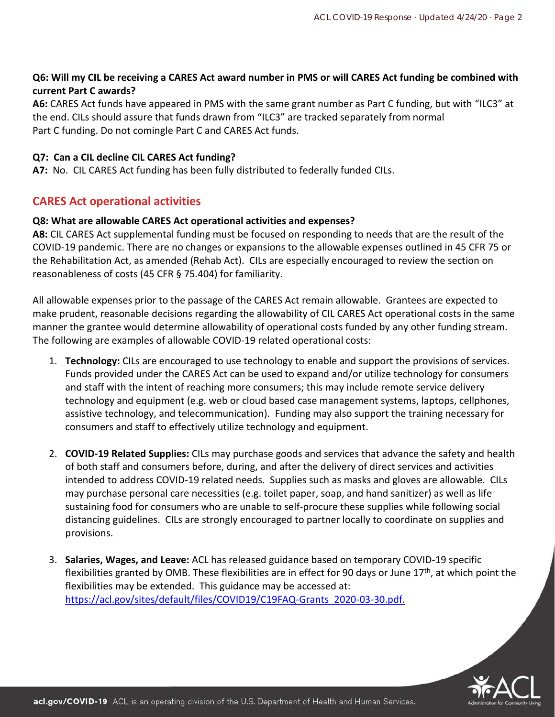## **Q6: Will my CIL be receiving a CARES Act award number in PMS or will CARES Act funding be combined with current Part C awards?**

**A6:** CARES Act funds have appeared in PMS with the same grant number as Part C funding, but with "ILC3" at the end. CILs should assure that funds drawn from "ILC3" are tracked separately from normal Part C funding. Do not comingle Part C and CARES Act funds.

#### **Q7: Can a CIL decline CIL CARES Act funding?**

**A7:** No. CIL CARES Act funding has been fully distributed to federally funded CILs.

## **CARES Act operational activities**

#### **Q8: What are allowable CARES Act operational activities and expenses?**

**A8:** CIL CARES Act supplemental funding must be focused on responding to needs that are the result of the COVID-19 pandemic. There are no changes or expansions to the allowable expenses outlined in 45 CFR 75 or the Rehabilitation Act, as amended (Rehab Act). CILs are especially encouraged to review the section on reasonableness of costs (45 CFR § 75.404) for familiarity.

All allowable expenses prior to the passage of the CARES Act remain allowable. Grantees are expected to make prudent, reasonable decisions regarding the allowability of CIL CARES Act operational costs in the same manner the grantee would determine allowability of operational costs funded by any other funding stream. The following are examples of allowable COVID-19 related operational costs:

- 1. **Technology:** CILs are encouraged to use technology to enable and support the provisions of services. Funds provided under the CARES Act can be used to expand and/or utilize technology for consumers and staff with the intent of reaching more consumers; this may include remote service delivery technology and equipment (e.g. web or cloud based case management systems, laptops, cellphones, assistive technology, and telecommunication). Funding may also support the training necessary for consumers and staff to effectively utilize technology and equipment.
- 2. **COVID-19 Related Supplies:** CILs may purchase goods and services that advance the safety and health of both staff and consumers before, during, and after the delivery of direct services and activities intended to address COVID-19 related needs. Supplies such as masks and gloves are allowable. CILs may purchase personal care necessities (e.g. toilet paper, soap, and hand sanitizer) as well as life sustaining food for consumers who are unable to self-procure these supplies while following social distancing guidelines. CILs are strongly encouraged to partner locally to coordinate on supplies and provisions.
- 3. **Salaries, Wages, and Leave:** ACL has released guidance based on temporary COVID-19 specific flexibilities granted by OMB. These flexibilities are in effect for 90 days or June  $17<sup>th</sup>$ , at which point the flexibilities may be extended. This guidance may be accessed at: [https://acl.gov/sites/default/files/COVID19/C19FAQ-Grants\\_2020-03-30.pdf.](https://acl.gov/sites/default/files/COVID19/C19FAQ-Grants_2020-03-30.pdf)

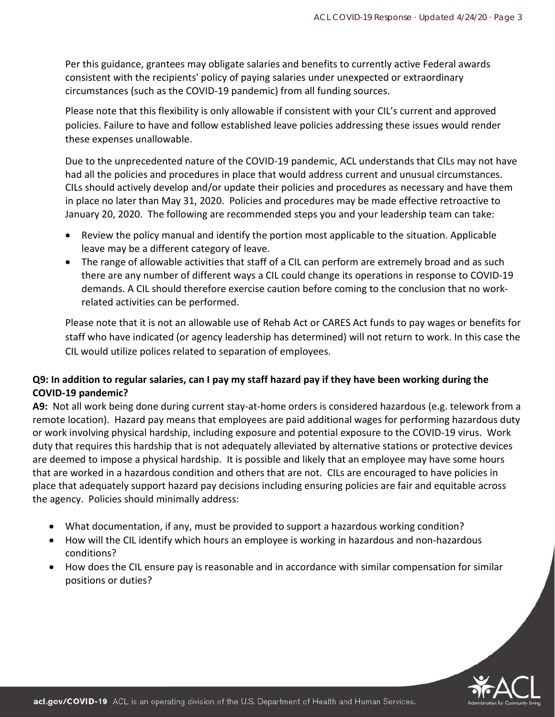Per this guidance, grantees may obligate salaries and benefits to currently active Federal awards consistent with the recipients' policy of paying salaries under unexpected or extraordinary circumstances (such as the COVID-19 pandemic) from all funding sources.

Please note that this flexibility is only allowable if consistent with your CIL's current and approved policies. Failure to have and follow established leave policies addressing these issues would render these expenses unallowable.

Due to the unprecedented nature of the COVID-19 pandemic, ACL understands that CILs may not have had all the policies and procedures in place that would address current and unusual circumstances. CILs should actively develop and/or update their policies and procedures as necessary and have them in place no later than May 31, 2020. Policies and procedures may be made effective retroactive to January 20, 2020. The following are recommended steps you and your leadership team can take:

- Review the policy manual and identify the portion most applicable to the situation. Applicable leave may be a different category of leave.
- The range of allowable activities that staff of a CIL can perform are extremely broad and as such there are any number of different ways a CIL could change its operations in response to COVID-19 demands. A CIL should therefore exercise caution before coming to the conclusion that no workrelated activities can be performed.

Please note that it is not an allowable use of Rehab Act or CARES Act funds to pay wages or benefits for staff who have indicated (or agency leadership has determined) will not return to work. In this case the CIL would utilize polices related to separation of employees.

## **Q9: In addition to regular salaries, can I pay my staff hazard pay if they have been working during the COVID-19 pandemic?**

**A9:** Not all work being done during current stay-at-home orders is considered hazardous (e.g. telework from a remote location). Hazard pay means that employees are paid additional wages for performing hazardous duty or work involving physical hardship, including exposure and potential exposure to the COVID-19 virus. Work duty that requires this hardship that is not adequately alleviated by alternative stations or protective devices are deemed to impose a physical hardship. It is possible and likely that an employee may have some hours that are worked in a hazardous condition and others that are not. CILs are encouraged to have policies in place that adequately support hazard pay decisions including ensuring policies are fair and equitable across the agency. Policies should minimally address:

- What documentation, if any, must be provided to support a hazardous working condition?
- How will the CIL identify which hours an employee is working in hazardous and non-hazardous conditions?
- How does the CIL ensure pay is reasonable and in accordance with similar compensation for similar positions or duties?

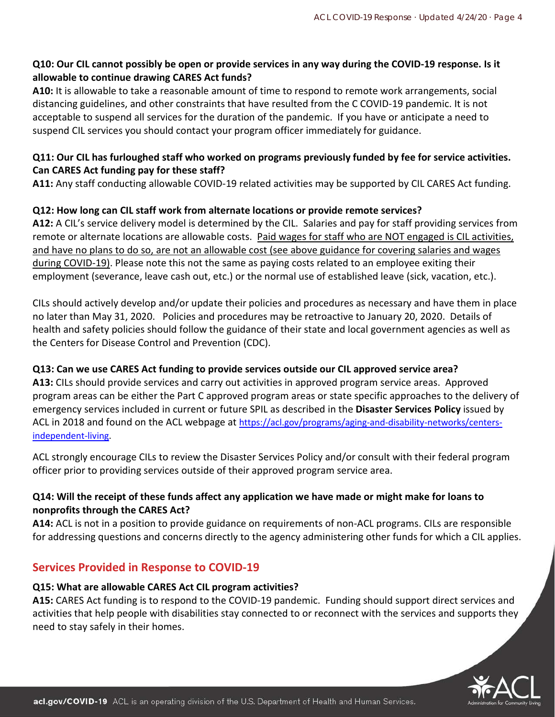## **Q10: Our CIL cannot possibly be open or provide services in any way during the COVID-19 response. Is it allowable to continue drawing CARES Act funds?**

**A10:** It is allowable to take a reasonable amount of time to respond to remote work arrangements, social distancing guidelines, and other constraints that have resulted from the C COVID-19 pandemic. It is not acceptable to suspend all services for the duration of the pandemic. If you have or anticipate a need to suspend CIL services you should contact your program officer immediately for guidance.

## **Q11: Our CIL has furloughed staff who worked on programs previously funded by fee for service activities. Can CARES Act funding pay for these staff?**

**A11:** Any staff conducting allowable COVID-19 related activities may be supported by CIL CARES Act funding.

## **Q12: How long can CIL staff work from alternate locations or provide remote services?**

**A12:** A CIL's service delivery model is determined by the CIL. Salaries and pay for staff providing services from remote or alternate locations are allowable costs. Paid wages for staff who are NOT engaged is CIL activities, and have no plans to do so, are not an allowable cost (see above guidance for covering salaries and wages during COVID-19). Please note this not the same as paying costs related to an employee exiting their employment (severance, leave cash out, etc.) or the normal use of established leave (sick, vacation, etc.).

CILs should actively develop and/or update their policies and procedures as necessary and have them in place no later than May 31, 2020. Policies and procedures may be retroactive to January 20, 2020. Details of health and safety policies should follow the guidance of their state and local government agencies as well as the Centers for Disease Control and Prevention (CDC).

## **Q13: Can we use CARES Act funding to provide services outside our CIL approved service area?**

**A13:** CILs should provide services and carry out activities in approved program service areas. Approved program areas can be either the Part C approved program areas or state specific approaches to the delivery of emergency services included in current or future SPIL as described in the **Disaster Services Policy** issued by ACL in 2018 and found on the ACL webpage at [https://acl.gov/programs/aging-and-disability-networks/centers](https://acl.gov/programs/aging-and-disability-networks/centers-independent-living)[independent-living.](https://acl.gov/programs/aging-and-disability-networks/centers-independent-living)

ACL strongly encourage CILs to review the Disaster Services Policy and/or consult with their federal program officer prior to providing services outside of their approved program service area.

## **Q14: Will the receipt of these funds affect any application we have made or might make for loans to nonprofits through the CARES Act?**

**A14:** ACL is not in a position to provide guidance on requirements of non-ACL programs. CILs are responsible for addressing questions and concerns directly to the agency administering other funds for which a CIL applies.

# **Services Provided in Response to COVID-19**

# **Q15: What are allowable CARES Act CIL program activities?**

**A15:** CARES Act funding is to respond to the COVID-19 pandemic. Funding should support direct services and activities that help people with disabilities stay connected to or reconnect with the services and supports they need to stay safely in their homes.

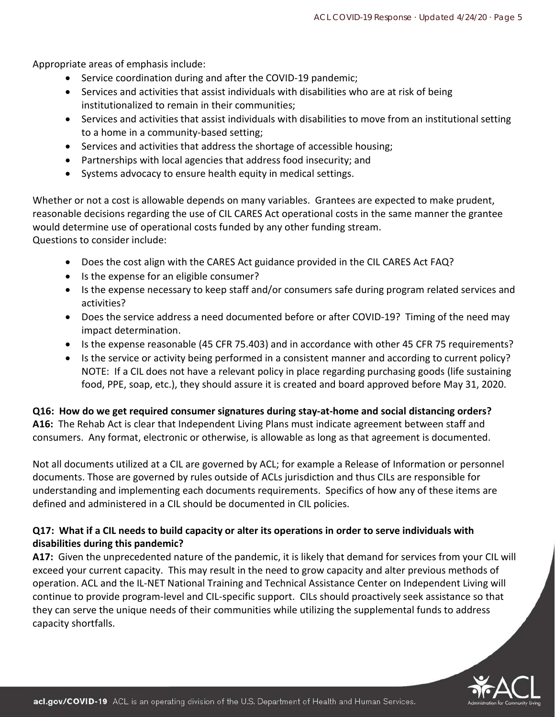Appropriate areas of emphasis include:

- Service coordination during and after the COVID-19 pandemic;
- Services and activities that assist individuals with disabilities who are at risk of being institutionalized to remain in their communities;
- Services and activities that assist individuals with disabilities to move from an institutional setting to a home in a community-based setting;
- Services and activities that address the shortage of accessible housing;
- Partnerships with local agencies that address food insecurity; and
- Systems advocacy to ensure health equity in medical settings.

Whether or not a cost is allowable depends on many variables. Grantees are expected to make prudent, reasonable decisions regarding the use of CIL CARES Act operational costs in the same manner the grantee would determine use of operational costs funded by any other funding stream. Questions to consider include:

- Does the cost align with the CARES Act guidance provided in the CIL CARES Act FAQ?
- Is the expense for an eligible consumer?
- Is the expense necessary to keep staff and/or consumers safe during program related services and activities?
- Does the service address a need documented before or after COVID-19? Timing of the need may impact determination.
- Is the expense reasonable (45 CFR 75.403) and in accordance with other 45 CFR 75 requirements?
- Is the service or activity being performed in a consistent manner and according to current policy? NOTE: If a CIL does not have a relevant policy in place regarding purchasing goods (life sustaining food, PPE, soap, etc.), they should assure it is created and board approved before May 31, 2020.

#### **Q16: How do we get required consumer signatures during stay-at-home and social distancing orders?**

**A16:** The Rehab Act is clear that Independent Living Plans must indicate agreement between staff and consumers. Any format, electronic or otherwise, is allowable as long as that agreement is documented.

Not all documents utilized at a CIL are governed by ACL; for example a Release of Information or personnel documents. Those are governed by rules outside of ACLs jurisdiction and thus CILs are responsible for understanding and implementing each documents requirements. Specifics of how any of these items are defined and administered in a CIL should be documented in CIL policies.

## **Q17: What if a CIL needs to build capacity or alter its operations in order to serve individuals with disabilities during this pandemic?**

**A17:** Given the unprecedented nature of the pandemic, it is likely that demand for services from your CIL will exceed your current capacity. This may result in the need to grow capacity and alter previous methods of operation. ACL and the IL-NET National Training and Technical Assistance Center on Independent Living will continue to provide program-level and CIL-specific support. CILs should proactively seek assistance so that they can serve the unique needs of their communities while utilizing the supplemental funds to address capacity shortfalls.